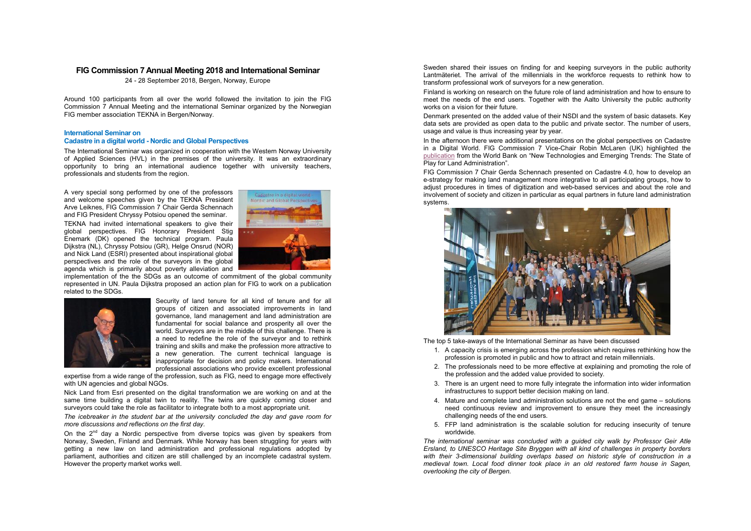# **FIG Commission 7 Annual Meeting 2018 and International Seminar**

24 - 28 September 2018, Bergen, Norway, Europe

Around 100 participants from all over the world followed the invitation to join the FIG Commission 7 Annual Meeting and the international Seminar organized by the Norwegian FIG member association TEKNA in Bergen/Norway.

#### **International Seminar on**

### **Cadastre in a digital world - Nordic and Global Perspectives**

The International Seminar was organized in cooperation with the Western Norway University of Applied Sciences (HVL) in the premises of the university. It was an extraordinary opportunity to bring an international audience together with university teachers, professionals and students from the region.

A very special song performed by one of the professors and welcome speeches given by the TEKNA President Arve Leiknes, FIG Commission 7 Chair Gerda Schennach and FIG President Chryssy Potsiou opened the seminar. TEKNA had invited international speakers to give their global perspectives. FIG Honorary President Stig Enemark (DK) opened the technical program. Paula Dijkstra (NL), Chryssy Potsiou (GR), Helge Onsrud (NOR) and Nick Land (ESRI) presented about inspirational global perspectives and the role of the surveyors in the global agenda which is primarily about poverty alleviation and



implementation of the the SDGs as an outcome of commitment of the global community represented in UN. Paula Dijkstra proposed an action plan for FIG to work on a publication related to the SDGs.



Security of land tenure for all kind of tenure and for all groups of citizen and associated improvements in land governance, land management and land administration are fundamental for social balance and prosperity all over the world. Surveyors are in the middle of this challenge. There is a need to redefine the role of the surveyor and to rethink training and skills and make the profession more attractive to a new generation. The current technical language is inappropriate for decision and policy makers. International professional associations who provide excellent professional

expertise from a wide range of the profession, such as FIG, need to engage more effectively with UN agencies and global NGOs.

Nick Land from Esri presented on the digital transformation we are working on and at the same time building a digital twin to reality. The twins are quickly coming closer and surveyors could take the role as facilitator to integrate both to a most appropriate unit.

*The icebreaker in the student bar at the university concluded the day and gave room for more discussions and reflections on the first day.* 

On the  $2^{nd}$  day a Nordic perspective from diverse topics was given by speakers from Norway, Sweden, Finland and Denmark. While Norway has been struggling for years with getting a new law on land administration and professional regulations adopted by parliament, authorities and citizen are still challenged by an incomplete cadastral system. However the property market works well.

Sweden shared their issues on finding for and keeping surveyors in the public authority Lantmäteriet. The arrival of the millennials in the workforce requests to rethink how to transform professional work of surveyors for a new generation.

Finland is working on research on the future role of land administration and how to ensure to meet the needs of the end users. Together with the Aalto University the public authority works on a vision for their future.

Denmark presented on the added value of their NSDI and the system of basic datasets. Key data sets are provided as open data to the public and private sector. The number of users, usage and value is thus increasing year by year.

In the afternoon there were additional presentations on the global perspectives on Cadastre in a Digital World. FIG Commission 7 Vice-Chair Robin McLaren (UK) highlighted the publication from the World Bank on "New Technologies and Emerging Trends: The State of Play for Land Administration"

FIG Commission 7 Chair Gerda Schennach presented on Cadastre 4.0, how to develop an e-strategy for making land management more integrative to all participating groups, how to adjust procedures in times of digitization and web-based services and about the role and involvement of society and citizen in particular as equal partners in future land administration systems.



The top 5 take-aways of the International Seminar as have been discussed

- 1. A capacity crisis is emerging across the profession which requires rethinking how the profession is promoted in public and how to attract and retain millennials.
- 2. The professionals need to be more effective at explaining and promoting the role of the profession and the added value provided to society.
- 3. There is an urgent need to more fully integrate the information into wider information infrastructures to support better decision making on land.
- 4. Mature and complete land administration solutions are not the end game solutions need continuous review and improvement to ensure they meet the increasingly challenging needs of the end users.
- 5. FFP land administration is the scalable solution for reducing insecurity of tenure worldwide.

*The international seminar was concluded with a guided city walk by Professor Geir Atle Ersland, to UNESCO Heritage Site Bryggen with all kind of challenges in property borders with their 3-dimensional building overlaps based on historic style of construction in a medieval town. Local food dinner took place in an old restored farm house in Sagen, overlooking the city of Bergen.*